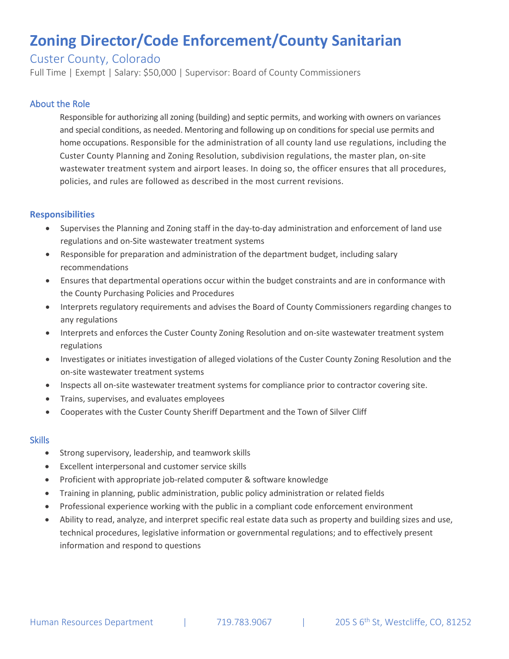# **Zoning Director/Code Enforcement/County Sanitarian**

## Custer County, Colorado

Full Time | Exempt | Salary: \$50,000 | Supervisor: Board of County Commissioners

### About the Role

Responsible for authorizing all zoning (building) and septic permits, and working with owners on variances and special conditions, as needed. Mentoring and following up on conditions for special use permits and home occupations. Responsible for the administration of all county land use regulations, including the Custer County Planning and Zoning Resolution, subdivision regulations, the master plan, on-site wastewater treatment system and airport leases. In doing so, the officer ensures that all procedures, policies, and rules are followed as described in the most current revisions.

### **Responsibilities**

- Supervises the Planning and Zoning staff in the day-to-day administration and enforcement of land use regulations and on-Site wastewater treatment systems
- Responsible for preparation and administration of the department budget, including salary recommendations
- Ensures that departmental operations occur within the budget constraints and are in conformance with the County Purchasing Policies and Procedures
- Interprets regulatory requirements and advises the Board of County Commissioners regarding changes to any regulations
- Interprets and enforces the Custer County Zoning Resolution and on-site wastewater treatment system regulations
- Investigates or initiates investigation of alleged violations of the Custer County Zoning Resolution and the on-site wastewater treatment systems
- Inspects all on-site wastewater treatment systems for compliance prior to contractor covering site.
- Trains, supervises, and evaluates employees
- Cooperates with the Custer County Sheriff Department and the Town of Silver Cliff

#### **Skills**

- Strong supervisory, leadership, and teamwork skills
- Excellent interpersonal and customer service skills
- Proficient with appropriate job-related computer & software knowledge
- Training in planning, public administration, public policy administration or related fields
- Professional experience working with the public in a compliant code enforcement environment
- Ability to read, analyze, and interpret specific real estate data such as property and building sizes and use, technical procedures, legislative information or governmental regulations; and to effectively present information and respond to questions